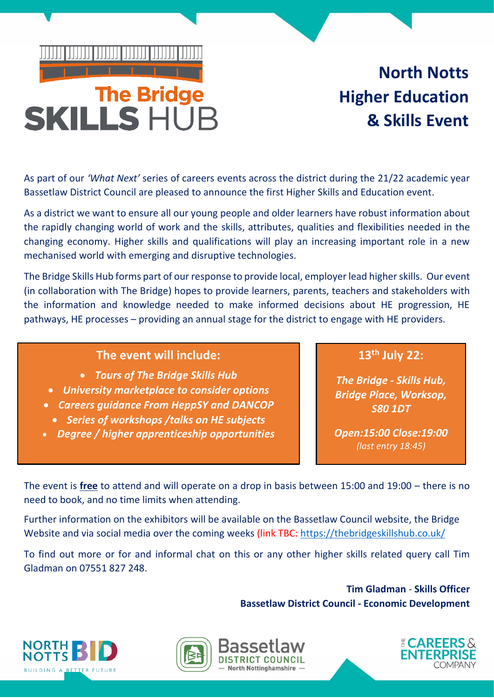## <u>T DI DI DI DI DI DI DI </u>

# The Bridge<br>SKILLS HUB

### **North Notts Higher Education & Skills Event**

As part of our *'What Next'* series of careers events across the district during the 21/22 academic year Bassetlaw District Council are pleased to announce the first Higher Skills and Education event.

As a district we want to ensure all our young people and older learners have robust information about the rapidly changing world of work and the skills, attributes, qualities and flexibilities needed in the changing economy. Higher skills and qualifications will play an increasing important role in a new mechanised world with emerging and disruptive technologies.

The Bridge Skills Hub forms part of our response to provide local, employer lead higher skills. Our event (in collaboration with The Bridge) hopes to provide learners, parents, teachers and stakeholders with the information and knowledge needed to make informed decisions about HE progression, HE pathways, HE processes – providing an annual stage for the district to engage with HE providers.

#### **The event will include:**

- *Tours of The Bridge Skills Hub*
- *University marketplace to consider options*
- *Careers guidance From HeppSY and DANCOP Series of workshops /talks on HE subjects*
- *Degree / higher apprenticeship opportunities*

**13th July 22:** 

*The Bridge - Skills Hub, Bridge Place, Worksop, S80 1DT*

*Open:15:00 Close:19:00 (last entry 18:45)*

The event is **free** to attend and will operate on a drop in basis between 15:00 and 19:00 – there is no need to book, and no time limits when attending.

Further information on the exhibitors will be available on the Bassetlaw Council website, the Bridge Website and via social media over the coming weeks (link TBC:<https://thebridgeskillshub.co.uk/>

To find out more or for and informal chat on this or any other higher skills related query call Tim Gladman on 07551 827 248.

> **Tim Gladman** - **Skills Officer Bassetlaw District Council - Economic Development**